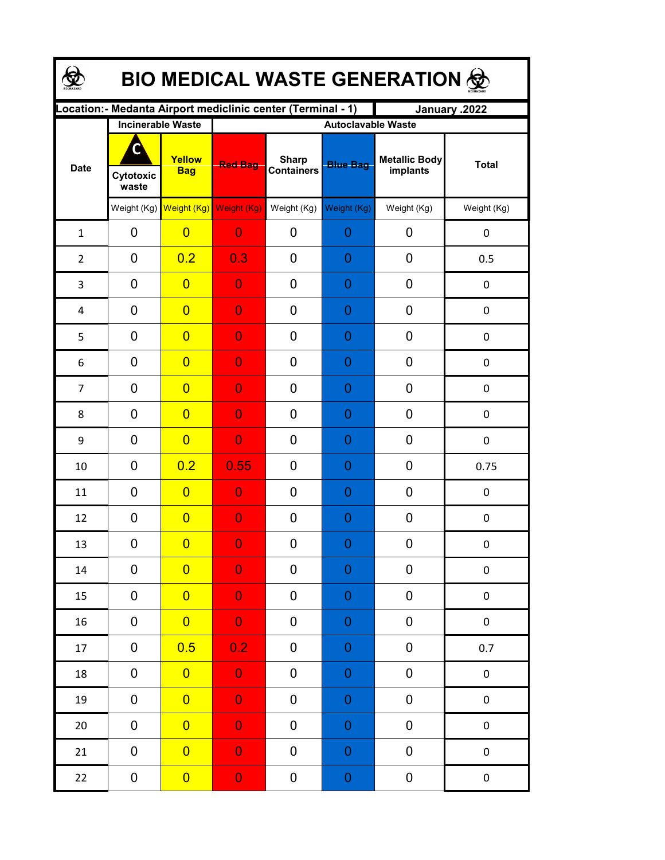| <b>BIO MEDICAL WASTE GENERATION ©</b> |                                                     |                         |                |                                                              |                                              |                                  |              |  |  |  |
|---------------------------------------|-----------------------------------------------------|-------------------------|----------------|--------------------------------------------------------------|----------------------------------------------|----------------------------------|--------------|--|--|--|
|                                       |                                                     |                         |                | Location: - Medanta Airport mediclinic center (Terminal - 1) |                                              | January .2022                    |              |  |  |  |
| <b>Date</b>                           | <b>Incinerable Waste</b><br>O<br>Cytotoxic<br>waste | Yellow<br><b>Bag</b>    | <b>Red Bag</b> | <b>Sharp</b><br><b>Containers</b>                            | <b>Autoclavable Waste</b><br><b>Blue Bag</b> | <b>Metallic Body</b><br>implants | <b>Total</b> |  |  |  |
|                                       |                                                     | Weight (Kg) Weight (Kg) | Weight (Kg)    | Weight (Kg)                                                  | Weight (Kg)                                  | Weight (Kg)                      | Weight (Kg)  |  |  |  |
| $\mathbf{1}$                          | 0                                                   | $\overline{0}$          | $\overline{0}$ | 0                                                            | 0                                            | 0                                | $\pmb{0}$    |  |  |  |
| $\overline{2}$                        | 0                                                   | 0.2                     | 0.3            | 0                                                            | 0                                            | 0                                | 0.5          |  |  |  |
| 3                                     | 0                                                   | $\overline{0}$          | $\overline{0}$ | 0                                                            | 0                                            | 0                                | 0            |  |  |  |
| 4                                     | 0                                                   | $\overline{0}$          | $\overline{0}$ | 0                                                            | 0                                            | 0                                | $\mathbf 0$  |  |  |  |
| 5                                     | 0                                                   | $\overline{0}$          | $\overline{0}$ | 0                                                            | 0                                            | 0                                | $\mathbf 0$  |  |  |  |
| 6                                     | 0                                                   | $\overline{0}$          | $\overline{0}$ | 0                                                            | 0                                            | 0                                | 0            |  |  |  |
| $\overline{7}$                        | $\mathbf 0$                                         | $\overline{0}$          | $\overline{0}$ | 0                                                            | 0                                            | 0                                | $\mathbf 0$  |  |  |  |
| 8                                     | $\mathbf 0$                                         | $\overline{0}$          | $\overline{0}$ | 0                                                            | 0                                            | 0                                | $\pmb{0}$    |  |  |  |
| 9                                     | $\mathbf 0$                                         | $\overline{0}$          | $\overline{0}$ | 0                                                            | 0                                            | 0                                | $\mathbf 0$  |  |  |  |
| 10                                    | 0                                                   | 0.2                     | 0.55           | 0                                                            | 0                                            | 0                                | 0.75         |  |  |  |
| 11                                    | 0                                                   | $\overline{0}$          | $\overline{0}$ | 0                                                            | 0                                            | 0                                | $\mathbf 0$  |  |  |  |
| 12                                    | 0                                                   | $\overline{0}$          | $\overline{0}$ | 0                                                            | 0                                            | 0                                | 0            |  |  |  |
| 13                                    | 0                                                   | $\overline{\mathbf{0}}$ | $\Omega$       | 0                                                            | $\Omega$                                     | $\boldsymbol{0}$                 | 0            |  |  |  |
| 14                                    | 0                                                   | $\overline{0}$          | $\overline{0}$ | 0                                                            | 0                                            | 0                                | $\pmb{0}$    |  |  |  |
| 15                                    | 0                                                   | $\overline{0}$          | $\mathbf 0$    | 0                                                            | $\mathbf 0$                                  | 0                                | $\pmb{0}$    |  |  |  |
| 16                                    | 0                                                   | $\overline{0}$          | $\overline{0}$ | 0                                                            | $\mathbf 0$                                  | 0                                | $\pmb{0}$    |  |  |  |
| 17                                    | 0                                                   | 0.5                     | 0.2            | 0                                                            | $\mathbf 0$                                  | 0                                | 0.7          |  |  |  |
| 18                                    | 0                                                   | $\overline{0}$          | $\overline{0}$ | 0                                                            | $\mathbf 0$                                  | $\pmb{0}$                        | $\pmb{0}$    |  |  |  |
| 19                                    | 0                                                   | $\overline{0}$          | $\overline{0}$ | 0                                                            | $\mathbf 0$                                  | $\pmb{0}$                        | $\pmb{0}$    |  |  |  |
| 20                                    | 0                                                   | $\overline{0}$          | $\mathbf 0$    | 0                                                            | $\boldsymbol{0}$                             | 0                                | $\pmb{0}$    |  |  |  |
| 21                                    | 0                                                   | $\overline{0}$          | $\mathbf 0$    | 0                                                            | $\boldsymbol{0}$                             | 0                                | $\pmb{0}$    |  |  |  |
| 22                                    | 0                                                   | $\overline{0}$          | $\mathbf 0$    | 0                                                            | $\mathbf 0$                                  | 0                                | $\pmb{0}$    |  |  |  |